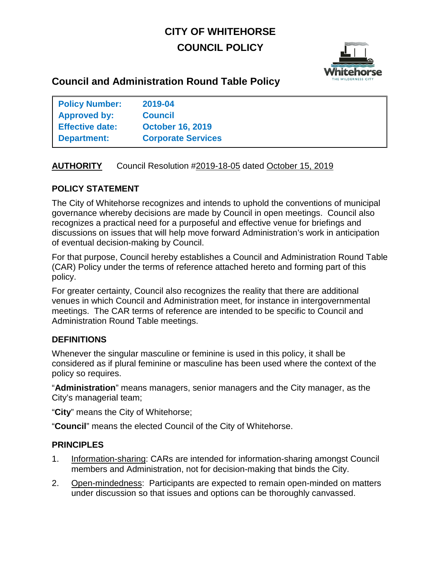# **CITY OF WHITEHORSE COUNCIL POLICY**



# **Council and Administration Round Table Policy**

| <b>Policy Number:</b>  | 2019-04                   |
|------------------------|---------------------------|
| Approved by:           | <b>Council</b>            |
| <b>Effective date:</b> | <b>October 16, 2019</b>   |
| <b>Department:</b>     | <b>Corporate Services</b> |

# **AUTHORITY** Council Resolution #2019-18-05 dated October 15, 2019

# **POLICY STATEMENT**

The City of Whitehorse recognizes and intends to uphold the conventions of municipal governance whereby decisions are made by Council in open meetings. Council also recognizes a practical need for a purposeful and effective venue for briefings and discussions on issues that will help move forward Administration's work in anticipation of eventual decision-making by Council.

For that purpose, Council hereby establishes a Council and Administration Round Table (CAR) Policy under the terms of reference attached hereto and forming part of this policy.

For greater certainty, Council also recognizes the reality that there are additional venues in which Council and Administration meet, for instance in intergovernmental meetings. The CAR terms of reference are intended to be specific to Council and Administration Round Table meetings.

# **DEFINITIONS**

Whenever the singular masculine or feminine is used in this policy, it shall be considered as if plural feminine or masculine has been used where the context of the policy so requires.

"**Administration**" means managers, senior managers and the City manager, as the City's managerial team;

"**City**" means the City of Whitehorse;

"**Council**" means the elected Council of the City of Whitehorse.

# **PRINCIPLES**

- 1. Information-sharing: CARs are intended for information-sharing amongst Council members and Administration, not for decision-making that binds the City.
- 2. Open-mindedness: Participants are expected to remain open-minded on matters under discussion so that issues and options can be thoroughly canvassed.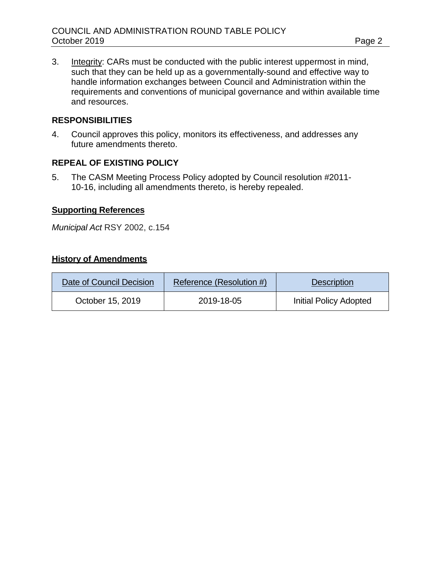3. Integrity: CARs must be conducted with the public interest uppermost in mind, such that they can be held up as a governmentally-sound and effective way to handle information exchanges between Council and Administration within the requirements and conventions of municipal governance and within available time and resources.

# **RESPONSIBILITIES**

4. Council approves this policy, monitors its effectiveness, and addresses any future amendments thereto.

# **REPEAL OF EXISTING POLICY**

5. The CASM Meeting Process Policy adopted by Council resolution #2011- 10-16, including all amendments thereto, is hereby repealed.

#### **Supporting References**

*Municipal Act* [RSY 2002, c.154](http://www.gov.yk.ca/legislation/acts/huri_c.pdf)

# **History of Amendments**

| Date of Council Decision | Reference (Resolution #) | <b>Description</b>            |
|--------------------------|--------------------------|-------------------------------|
| October 15, 2019         | 2019-18-05               | <b>Initial Policy Adopted</b> |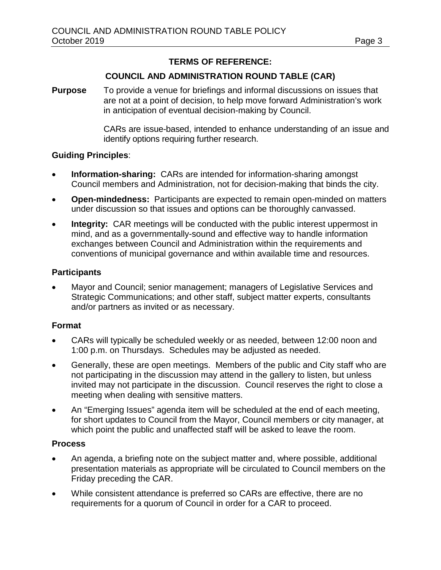# **TERMS OF REFERENCE:**

#### **COUNCIL AND ADMINISTRATION ROUND TABLE (CAR)**

**Purpose** To provide a venue for briefings and informal discussions on issues that are not at a point of decision, to help move forward Administration's work in anticipation of eventual decision-making by Council.

> CARs are issue-based, intended to enhance understanding of an issue and identify options requiring further research.

#### **Guiding Principles**:

- **Information-sharing:** CARs are intended for information-sharing amongst Council members and Administration, not for decision-making that binds the city.
- **Open-mindedness:** Participants are expected to remain open-minded on matters under discussion so that issues and options can be thoroughly canvassed.
- **Integrity:** CAR meetings will be conducted with the public interest uppermost in mind, and as a governmentally-sound and effective way to handle information exchanges between Council and Administration within the requirements and conventions of municipal governance and within available time and resources.

#### **Participants**

• Mayor and Council; senior management; managers of Legislative Services and Strategic Communications; and other staff, subject matter experts, consultants and/or partners as invited or as necessary.

#### **Format**

- CARs will typically be scheduled weekly or as needed, between 12:00 noon and 1:00 p.m. on Thursdays. Schedules may be adjusted as needed.
- Generally, these are open meetings. Members of the public and City staff who are not participating in the discussion may attend in the gallery to listen, but unless invited may not participate in the discussion. Council reserves the right to close a meeting when dealing with sensitive matters.
- An "Emerging Issues" agenda item will be scheduled at the end of each meeting, for short updates to Council from the Mayor, Council members or city manager, at which point the public and unaffected staff will be asked to leave the room.

#### **Process**

- An agenda, a briefing note on the subject matter and, where possible, additional presentation materials as appropriate will be circulated to Council members on the Friday preceding the CAR.
- While consistent attendance is preferred so CARs are effective, there are no requirements for a quorum of Council in order for a CAR to proceed.